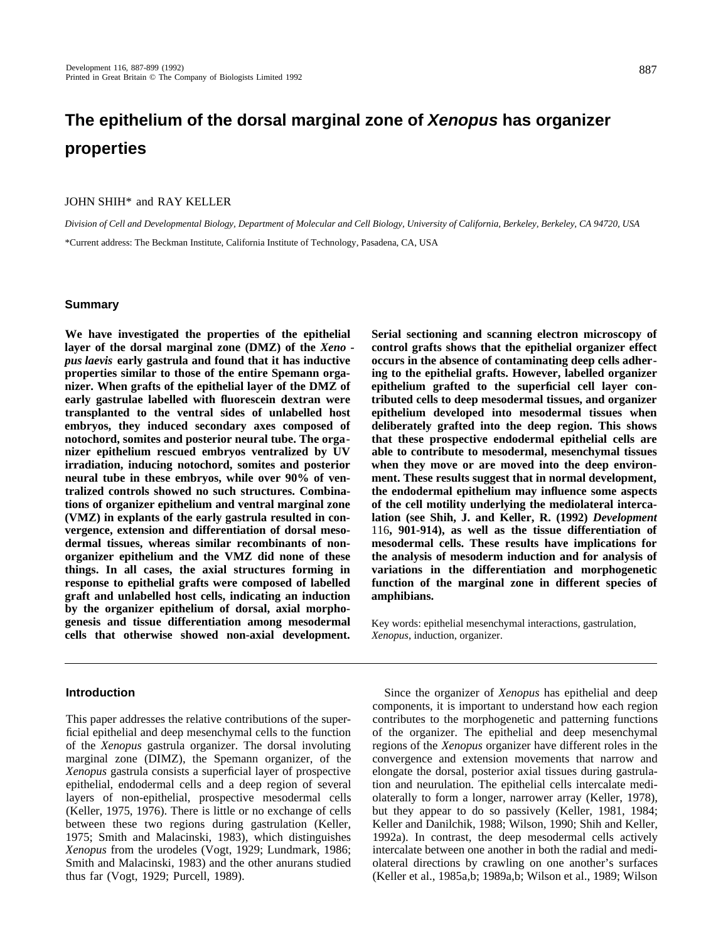# **The epithelium of the dorsal marginal zone of Xenopus has organizer properties**

#### JOHN SHIH\* and RAY KELLER

*Division of Cell and Developmental Biology, Department of Molecular and Cell Biology, University of California, Berkeley, Berkeley, CA 94720, USA* \*Current address: The Beckman Institute, California Institute of Technology, Pasadena, CA, USA

#### **Summary**

**We have investigated the properties of the epithelial layer of the dorsal marginal zone (DMZ) of the** *Xeno pus laevis* **early gastrula and found that it has inductive properties similar to those of the entire Spemann organizer. When grafts of the epithelial layer of the DMZ of early gastrulae labelled with fluorescein dextran were transplanted to the ventral sides of unlabelled host embryos, they induced secondary axes composed of notochord, somites and posterior neural tube. The organizer epithelium rescued embryos ventralized by UV irradiation, inducing notochord, somites and posterior neural tube in these embryos, while over 90% of ventralized controls showed no such structures. Combinations of organizer epithelium and ventral marginal zone (VMZ) in explants of the early gastrula resulted in convergence, extension and differentiation of dorsal mesodermal tissues, whereas similar recombinants of nonorganizer epithelium and the VMZ did none of these things. In all cases, the axial structures forming in response to epithelial grafts were composed of labelled graft and unlabelled host cells, indicating an induction by the organizer epithelium of dorsal, axial morphogenesis and tissue differentiation among mesodermal cells that otherwise showed non-axial development.**

#### **Introduction**

This paper addresses the relative contributions of the superficial epithelial and deep mesenchymal cells to the function of the *Xenopus* gastrula organizer. The dorsal involuting marginal zone (DIMZ), the Spemann organizer, of the *Xenopus* gastrula consists a superficial layer of prospective epithelial, endodermal cells and a deep region of several layers of non-epithelial, prospective mesodermal cells (Keller, 1975, 1976). There is little or no exchange of cells between these two regions during gastrulation (Keller, 1975; Smith and Malacinski, 1983), which distinguishes *Xenopus* from the urodeles (Vogt, 1929; Lundmark, 1986; Smith and Malacinski, 1983) and the other anurans studied thus far (Vogt, 1929; Purcell, 1989).

**Serial sectioning and scanning electron microscopy of control grafts shows that the epithelial organizer effect occurs in the absence of contaminating deep cells adhering to the epithelial grafts. However, labelled organizer epithelium grafted to the superficial cell layer contributed cells to deep mesodermal tissues, and organizer epithelium developed into mesodermal tissues when deliberately grafted into the deep region. This shows that these prospective endodermal epithelial cells are able to contribute to mesodermal, mesenchymal tissues when they move or are moved into the deep environment. These results suggest that in normal development, the endodermal epithelium may influence some aspects of the cell motility underlying the mediolateral intercalation (see Shih, J. and Keller, R. (1992)** *Development* 116**, 901-914), as well as the tissue differentiation of mesodermal cells. These results have implications for the analysis of mesoderm induction and for analysis of variations in the differentiation and morphogenetic function of the marginal zone in different species of amphibians.**

Key words: epithelial mesenchymal interactions, gastrulation, *Xenopus*, induction, organizer.

Since the organizer of *Xenopus* has epithelial and deep components, it is important to understand how each region contributes to the morphogenetic and patterning functions of the organizer. The epithelial and deep mesenchymal regions of the *Xenopus* organizer have different roles in the convergence and extension movements that narrow and elongate the dorsal, posterior axial tissues during gastrulation and neurulation. The epithelial cells intercalate mediolaterally to form a longer, narrower array (Keller, 1978), but they appear to do so passively (Keller, 1981, 1984; Keller and Danilchik, 1988; Wilson, 1990; Shih and Keller, 1992a). In contrast, the deep mesodermal cells actively intercalate between one another in both the radial and mediolateral directions by crawling on one another's surfaces (Keller et al., 1985a,b; 1989a,b; Wilson et al., 1989; Wilson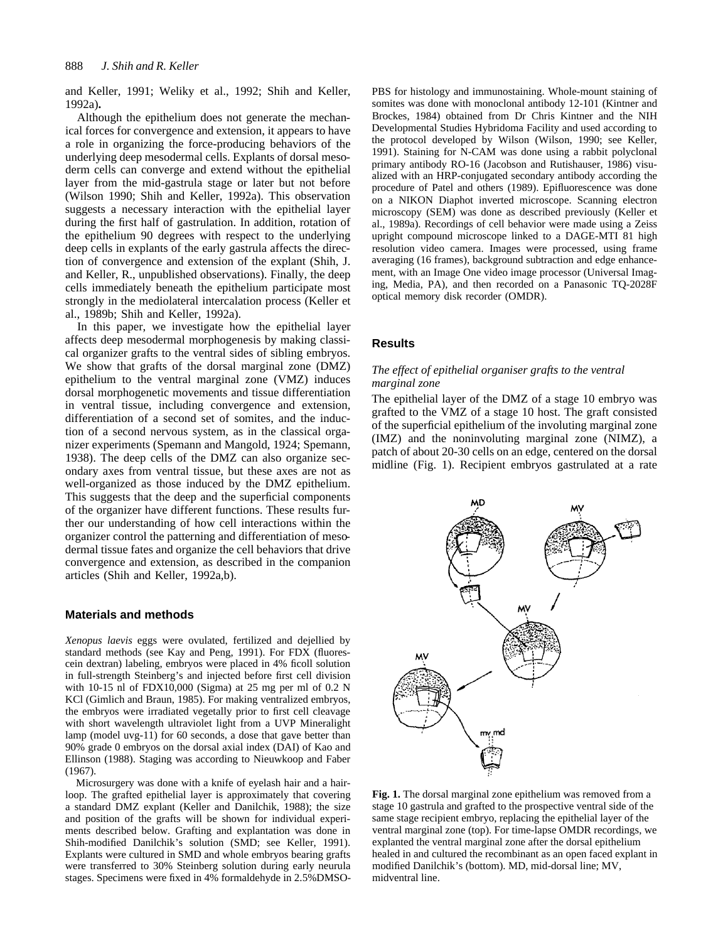and Keller, 1991; Weliky et al., 1992; Shih and Keller, 1992a)**.**

Although the epithelium does not generate the mechanical forces for convergence and extension, it appears to have a role in organizing the force-producing behaviors of the underlying deep mesodermal cells. Explants of dorsal mesoderm cells can converge and extend without the epithelial layer from the mid-gastrula stage or later but not before (Wilson 1990; Shih and Keller, 1992a). This observation suggests a necessary interaction with the epithelial layer during the first half of gastrulation. In addition, rotation of the epithelium 90 degrees with respect to the underlying deep cells in explants of the early gastrula affects the direction of convergence and extension of the explant (Shih, J. and Keller, R., unpublished observations). Finally, the deep cells immediately beneath the epithelium participate most strongly in the mediolateral intercalation process (Keller et al., 1989b; Shih and Keller, 1992a).

In this paper, we investigate how the epithelial layer affects deep mesodermal morphogenesis by making classical organizer grafts to the ventral sides of sibling embryos. We show that grafts of the dorsal marginal zone (DMZ) epithelium to the ventral marginal zone (VMZ) induces dorsal morphogenetic movements and tissue differentiation in ventral tissue, including convergence and extension, differentiation of a second set of somites, and the induction of a second nervous system, as in the classical organizer experiments (Spemann and Mangold, 1924; Spemann, 1938). The deep cells of the DMZ can also organize secondary axes from ventral tissue, but these axes are not as well-organized as those induced by the DMZ epithelium. This suggests that the deep and the superficial components of the organizer have different functions. These results further our understanding of how cell interactions within the organizer control the patterning and differentiation of mesodermal tissue fates and organize the cell behaviors that drive convergence and extension, as described in the companion articles (Shih and Keller, 1992a,b).

#### **Materials and methods**

*Xenopus laevis* eggs were ovulated, fertilized and dejellied by standard methods (see Kay and Peng, 1991). For FDX (fluorescein dextran) labeling, embryos were placed in 4% ficoll solution in full-strength Steinberg's and injected before first cell division with 10-15 nl of FDX10,000 (Sigma) at 25 mg per ml of 0.2 N KCl (Gimlich and Braun, 1985). For making ventralized embryos, the embryos were irradiated vegetally prior to first cell cleavage with short wavelength ultraviolet light from a UVP Mineralight lamp (model uvg-11) for 60 seconds, a dose that gave better than 90% grade 0 embryos on the dorsal axial index (DAI) of Kao and Ellinson (1988). Staging was according to Nieuwkoop and Faber (1967).

Microsurgery was done with a knife of eyelash hair and a hairloop. The grafted epithelial layer is approximately that covering a standard DMZ explant (Keller and Danilchik, 1988); the size and position of the grafts will be shown for individual experiments described below. Grafting and explantation was done in Shih-modified Danilchik's solution (SMD; see Keller, 1991). Explants were cultured in SMD and whole embryos bearing grafts were transferred to 30% Steinberg solution during early neurula stages. Specimens were fixed in 4% formaldehyde in 2.5%DMSO- PBS for histology and immunostaining. Whole-mount staining of somites was done with monoclonal antibody 12-101 (Kintner and Brockes, 1984) obtained from Dr Chris Kintner and the NIH Developmental Studies Hybridoma Facility and used according to the protocol developed by Wilson (Wilson, 1990; see Keller, 1991). Staining for N-CAM was done using a rabbit polyclonal primary antibody RO-16 (Jacobson and Rutishauser, 1986) visualized with an HRP-conjugated secondary antibody according the procedure of Patel and others (1989). Epifluorescence was done on a NIKON Diaphot inverted microscope. Scanning electron microscopy (SEM) was done as described previously (Keller et al., 1989a). Recordings of cell behavior were made using a Zeiss upright compound microscope linked to a DAGE-MTI 81 high resolution video camera. Images were processed, using frame averaging (16 frames), background subtraction and edge enhancement, with an Image One video image processor (Universal Imaging, Media, PA), and then recorded on a Panasonic TQ-2028F optical memory disk recorder (OMDR).

#### **Results**

#### *The effect of epithelial organiser grafts to the ventral marginal zone*

The epithelial layer of the DMZ of a stage 10 embryo was grafted to the VMZ of a stage 10 host. The graft consisted of the superficial epithelium of the involuting marginal zone (IMZ) and the noninvoluting marginal zone (NIMZ), a patch of about 20-30 cells on an edge, centered on the dorsal midline (Fig. 1). Recipient embryos gastrulated at a rate



**Fig. 1.** The dorsal marginal zone epithelium was removed from a stage 10 gastrula and grafted to the prospective ventral side of the same stage recipient embryo, replacing the epithelial layer of the ventral marginal zone (top). For time-lapse OMDR recordings, we explanted the ventral marginal zone after the dorsal epithelium healed in and cultured the recombinant as an open faced explant in modified Danilchik's (bottom). MD, mid-dorsal line; MV, midventral line.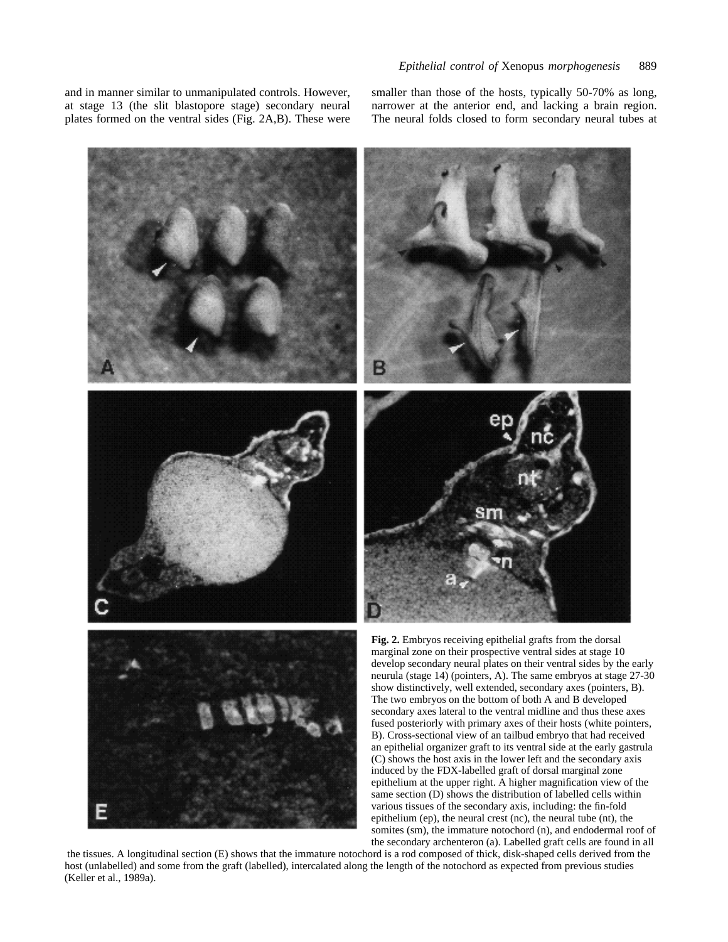and in manner similar to unmanipulated controls. However, at stage 13 (the slit blastopore stage) secondary neural plates formed on the ventral sides (Fig. 2A,B). These were smaller than those of the hosts, typically 50-70% as long, narrower at the anterior end, and lacking a brain region. The neural folds closed to form secondary neural tubes at

somites (sm), the immature notochord (n), and endodermal roof of



the secondary archenteron (a). Labelled graft cells are found in all the tissues. A longitudinal section (E) shows that the immature notochord is a rod composed of thick, disk-shaped cells derived from the host (unlabelled) and some from the graft (labelled), intercalated along the length of the notochord as expected from previous studies (Keller et al., 1989a).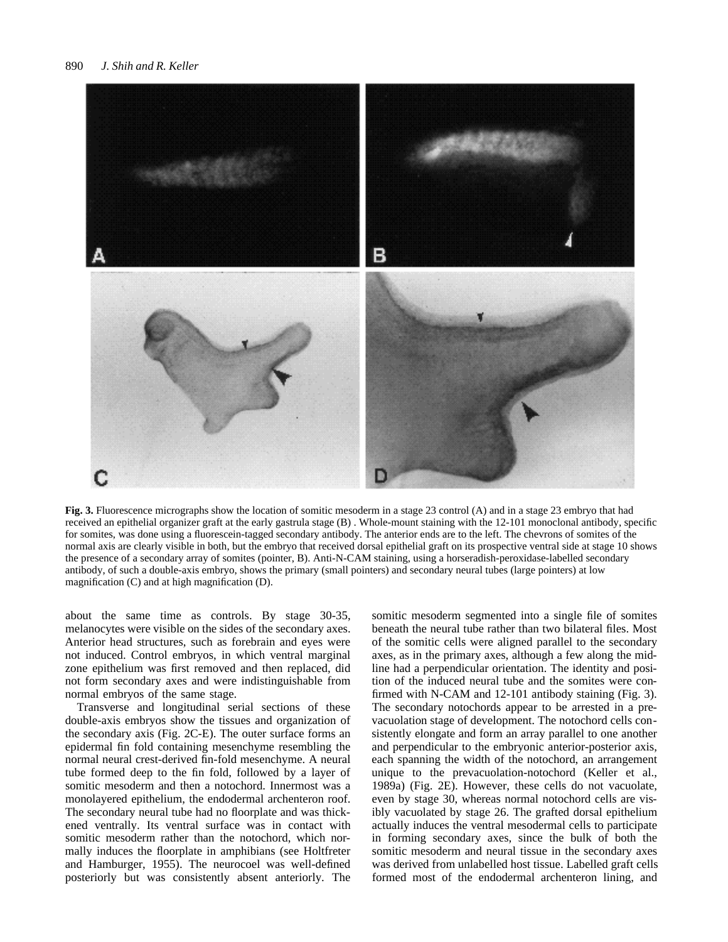

**Fig. 3.** Fluorescence micrographs show the location of somitic mesoderm in a stage 23 control (A) and in a stage 23 embryo that had received an epithelial organizer graft at the early gastrula stage (B) . Whole-mount staining with the 12-101 monoclonal antibody, specific for somites, was done using a fluorescein-tagged secondary antibody. The anterior ends are to the left. The chevrons of somites of the normal axis are clearly visible in both, but the embryo that received dorsal epithelial graft on its prospective ventral side at stage 10 shows the presence of a secondary array of somites (pointer, B). Anti-N-CAM staining, using a horseradish-peroxidase-labelled secondary antibody, of such a double-axis embryo, shows the primary (small pointers) and secondary neural tubes (large pointers) at low magnification (C) and at high magnification (D).

about the same time as controls. By stage 30-35, melanocytes were visible on the sides of the secondary axes. Anterior head structures, such as forebrain and eyes were not induced. Control embryos, in which ventral marginal zone epithelium was first removed and then replaced, did not form secondary axes and were indistinguishable from normal embryos of the same stage.

Transverse and longitudinal serial sections of these double-axis embryos show the tissues and organization of the secondary axis (Fig. 2C-E). The outer surface forms an epidermal fin fold containing mesenchyme resembling the normal neural crest-derived fin-fold mesenchyme. A neural tube formed deep to the fin fold, followed by a layer of somitic mesoderm and then a notochord. Innermost was a monolayered epithelium, the endodermal archenteron roof. The secondary neural tube had no floorplate and was thickened ventrally. Its ventral surface was in contact with somitic mesoderm rather than the notochord, which normally induces the floorplate in amphibians (see Holtfreter and Hamburger, 1955). The neurocoel was well-defined posteriorly but was consistently absent anteriorly. The somitic mesoderm segmented into a single file of somites beneath the neural tube rather than two bilateral files. Most of the somitic cells were aligned parallel to the secondary axes, as in the primary axes, although a few along the midline had a perpendicular orientation. The identity and position of the induced neural tube and the somites were confirmed with N-CAM and 12-101 antibody staining (Fig. 3). The secondary notochords appear to be arrested in a prevacuolation stage of development. The notochord cells consistently elongate and form an array parallel to one another and perpendicular to the embryonic anterior-posterior axis, each spanning the width of the notochord, an arrangement unique to the prevacuolation-notochord (Keller et al., 1989a) (Fig. 2E). However, these cells do not vacuolate, even by stage 30, whereas normal notochord cells are visibly vacuolated by stage 26. The grafted dorsal epithelium actually induces the ventral mesodermal cells to participate in forming secondary axes, since the bulk of both the somitic mesoderm and neural tissue in the secondary axes was derived from unlabelled host tissue. Labelled graft cells formed most of the endodermal archenteron lining, and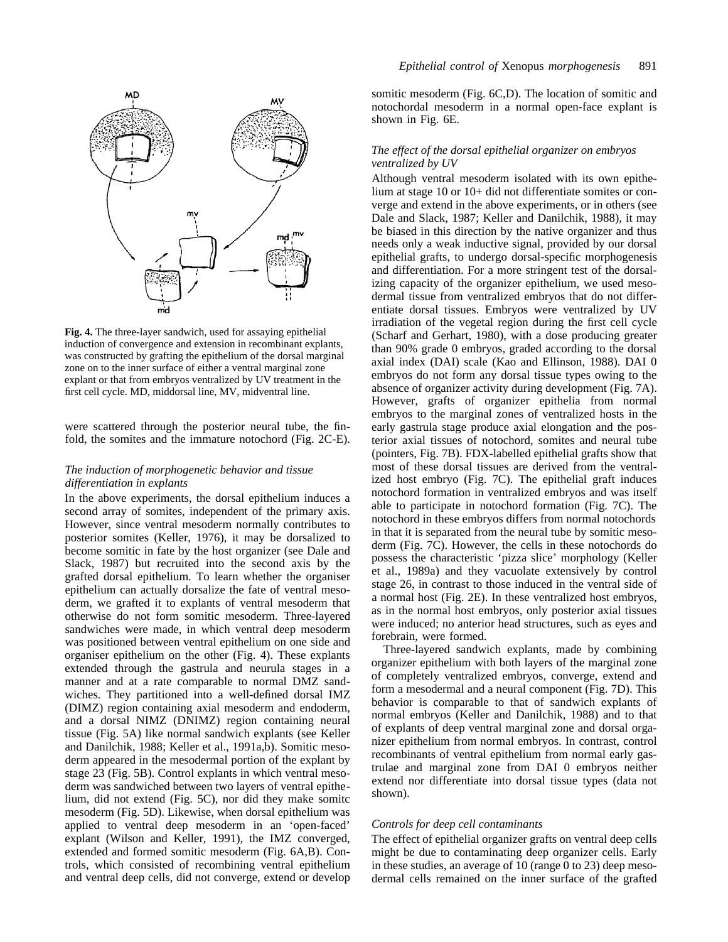

**Fig. 4.** The three-layer sandwich, used for assaying epithelial induction of convergence and extension in recombinant explants, was constructed by grafting the epithelium of the dorsal marginal zone on to the inner surface of either a ventral marginal zone explant or that from embryos ventralized by UV treatment in the first cell cycle. MD, middorsal line, MV, midventral line.

were scattered through the posterior neural tube, the finfold, the somites and the immature notochord (Fig. 2C-E).

# *The induction of morphogenetic behavior and tissue differentiation in explants*

In the above experiments, the dorsal epithelium induces a second array of somites, independent of the primary axis. However, since ventral mesoderm normally contributes to posterior somites (Keller, 1976), it may be dorsalized to become somitic in fate by the host organizer (see Dale and Slack, 1987) but recruited into the second axis by the grafted dorsal epithelium. To learn whether the organiser epithelium can actually dorsalize the fate of ventral mesoderm, we grafted it to explants of ventral mesoderm that otherwise do not form somitic mesoderm. Three-layered sandwiches were made, in which ventral deep mesoderm was positioned between ventral epithelium on one side and organiser epithelium on the other (Fig. 4). These explants extended through the gastrula and neurula stages in a manner and at a rate comparable to normal DMZ sandwiches. They partitioned into a well-defined dorsal IMZ (DIMZ) region containing axial mesoderm and endoderm, and a dorsal NIMZ (DNIMZ) region containing neural tissue (Fig. 5A) like normal sandwich explants (see Keller and Danilchik, 1988; Keller et al., 1991a,b). Somitic mesoderm appeared in the mesodermal portion of the explant by stage 23 (Fig. 5B). Control explants in which ventral mesoderm was sandwiched between two layers of ventral epithelium, did not extend (Fig. 5C), nor did they make somitc mesoderm (Fig. 5D). Likewise, when dorsal epithelium was applied to ventral deep mesoderm in an 'open-faced' explant (Wilson and Keller, 1991), the IMZ converged, extended and formed somitic mesoderm (Fig. 6A,B). Controls, which consisted of recombining ventral epithelium and ventral deep cells, did not converge, extend or develop somitic mesoderm (Fig. 6C,D). The location of somitic and notochordal mesoderm in a normal open-face explant is shown in Fig. 6E.

## *The effect of the dorsal epithelial organizer on embryos ventralized by UV*

Although ventral mesoderm isolated with its own epithelium at stage 10 or 10+ did not differentiate somites or converge and extend in the above experiments, or in others (see Dale and Slack, 1987; Keller and Danilchik, 1988), it may be biased in this direction by the native organizer and thus needs only a weak inductive signal, provided by our dorsal epithelial grafts, to undergo dorsal-specific morphogenesis and differentiation. For a more stringent test of the dorsalizing capacity of the organizer epithelium, we used mesodermal tissue from ventralized embryos that do not differentiate dorsal tissues. Embryos were ventralized by UV irradiation of the vegetal region during the first cell cycle (Scharf and Gerhart, 1980), with a dose producing greater than 90% grade 0 embryos, graded according to the dorsal axial index (DAI) scale (Kao and Ellinson, 1988). DAI 0 embryos do not form any dorsal tissue types owing to the absence of organizer activity during development (Fig. 7A). However, grafts of organizer epithelia from normal embryos to the marginal zones of ventralized hosts in the early gastrula stage produce axial elongation and the posterior axial tissues of notochord, somites and neural tube (pointers, Fig. 7B). FDX-labelled epithelial grafts show that most of these dorsal tissues are derived from the ventralized host embryo (Fig. 7C). The epithelial graft induces notochord formation in ventralized embryos and was itself able to participate in notochord formation (Fig. 7C). The notochord in these embryos differs from normal notochords in that it is separated from the neural tube by somitic mesoderm (Fig. 7C). However, the cells in these notochords do possess the characteristic 'pizza slice' morphology (Keller et al., 1989a) and they vacuolate extensively by control stage 26, in contrast to those induced in the ventral side of a normal host (Fig. 2E). In these ventralized host embryos, as in the normal host embryos, only posterior axial tissues were induced; no anterior head structures, such as eyes and forebrain, were formed.

Three-layered sandwich explants, made by combining organizer epithelium with both layers of the marginal zone of completely ventralized embryos, converge, extend and form a mesodermal and a neural component (Fig. 7D). This behavior is comparable to that of sandwich explants of normal embryos (Keller and Danilchik, 1988) and to that of explants of deep ventral marginal zone and dorsal organizer epithelium from normal embryos. In contrast, control recombinants of ventral epithelium from normal early gastrulae and marginal zone from DAI 0 embryos neither extend nor differentiate into dorsal tissue types (data not shown).

#### *Controls for deep cell contaminants*

The effect of epithelial organizer grafts on ventral deep cells might be due to contaminating deep organizer cells. Early in these studies, an average of 10 (range 0 to 23) deep mesodermal cells remained on the inner surface of the grafted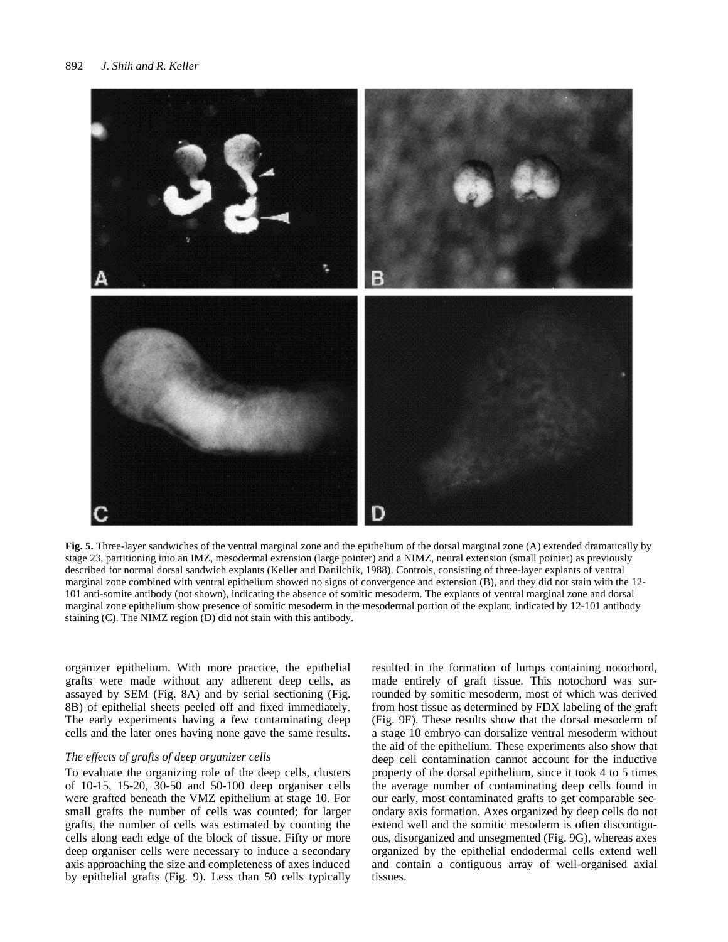

**Fig. 5.** Three-layer sandwiches of the ventral marginal zone and the epithelium of the dorsal marginal zone (A) extended dramatically by stage 23, partitioning into an IMZ, mesodermal extension (large pointer) and a NIMZ, neural extension (small pointer) as previously described for normal dorsal sandwich explants (Keller and Danilchik, 1988). Controls, consisting of three-layer explants of ventral marginal zone combined with ventral epithelium showed no signs of convergence and extension (B), and they did not stain with the 12- 101 anti-somite antibody (not shown), indicating the absence of somitic mesoderm. The explants of ventral marginal zone and dorsal marginal zone epithelium show presence of somitic mesoderm in the mesodermal portion of the explant, indicated by 12-101 antibody staining (C). The NIMZ region (D) did not stain with this antibody.

organizer epithelium. With more practice, the epithelial grafts were made without any adherent deep cells, as assayed by SEM (Fig. 8A) and by serial sectioning (Fig. 8B) of epithelial sheets peeled off and fixed immediately. The early experiments having a few contaminating deep cells and the later ones having none gave the same results.

### *The effects of grafts of deep organizer cells*

To evaluate the organizing role of the deep cells, clusters of 10-15, 15-20, 30-50 and 50-100 deep organiser cells were grafted beneath the VMZ epithelium at stage 10. For small grafts the number of cells was counted; for larger grafts, the number of cells was estimated by counting the cells along each edge of the block of tissue. Fifty or more deep organiser cells were necessary to induce a secondary axis approaching the size and completeness of axes induced by epithelial grafts (Fig. 9). Less than 50 cells typically resulted in the formation of lumps containing notochord, made entirely of graft tissue. This notochord was surrounded by somitic mesoderm, most of which was derived from host tissue as determined by FDX labeling of the graft (Fig. 9F). These results show that the dorsal mesoderm of a stage 10 embryo can dorsalize ventral mesoderm without the aid of the epithelium. These experiments also show that deep cell contamination cannot account for the inductive property of the dorsal epithelium, since it took 4 to 5 times the average number of contaminating deep cells found in our early, most contaminated grafts to get comparable secondary axis formation. Axes organized by deep cells do not extend well and the somitic mesoderm is often discontiguous, disorganized and unsegmented (Fig. 9G), whereas axes organized by the epithelial endodermal cells extend well and contain a contiguous array of well-organised axial tissues.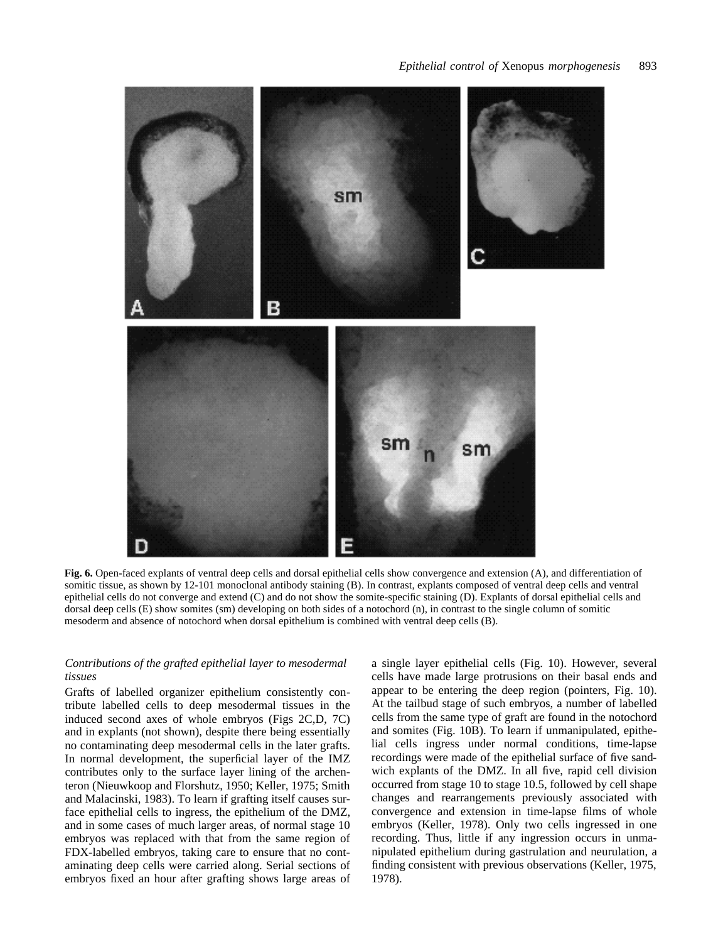

**Fig. 6.** Open-faced explants of ventral deep cells and dorsal epithelial cells show convergence and extension (A), and differentiation of somitic tissue, as shown by 12-101 monoclonal antibody staining (B). In contrast, explants composed of ventral deep cells and ventral epithelial cells do not converge and extend (C) and do not show the somite-specific staining (D). Explants of dorsal epithelial cells and dorsal deep cells (E) show somites (sm) developing on both sides of a notochord (n), in contrast to the single column of somitic mesoderm and absence of notochord when dorsal epithelium is combined with ventral deep cells (B).

# *Contributions of the grafted epithelial layer to mesodermal tissues*

Grafts of labelled organizer epithelium consistently contribute labelled cells to deep mesodermal tissues in the induced second axes of whole embryos (Figs 2C,D, 7C) and in explants (not shown), despite there being essentially no contaminating deep mesodermal cells in the later grafts. In normal development, the superficial layer of the IMZ contributes only to the surface layer lining of the archenteron (Nieuwkoop and Florshutz, 1950; Keller, 1975; Smith and Malacinski, 1983). To learn if grafting itself causes surface epithelial cells to ingress, the epithelium of the DMZ, and in some cases of much larger areas, of normal stage 10 embryos was replaced with that from the same region of FDX-labelled embryos, taking care to ensure that no contaminating deep cells were carried along. Serial sections of embryos fixed an hour after grafting shows large areas of a single layer epithelial cells (Fig. 10). However, several cells have made large protrusions on their basal ends and appear to be entering the deep region (pointers, Fig. 10). At the tailbud stage of such embryos, a number of labelled cells from the same type of graft are found in the notochord and somites (Fig. 10B). To learn if unmanipulated, epithelial cells ingress under normal conditions, time-lapse recordings were made of the epithelial surface of five sandwich explants of the DMZ. In all five, rapid cell division occurred from stage 10 to stage 10.5, followed by cell shape changes and rearrangements previously associated with convergence and extension in time-lapse films of whole embryos (Keller, 1978). Only two cells ingressed in one recording. Thus, little if any ingression occurs in unmanipulated epithelium during gastrulation and neurulation, a finding consistent with previous observations (Keller, 1975, 1978).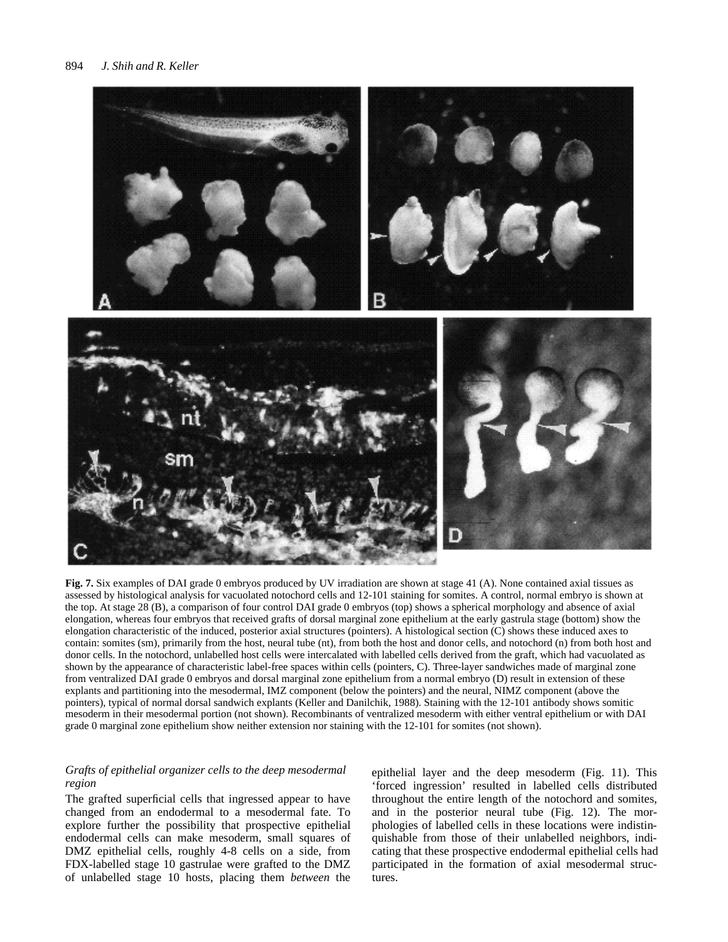

**Fig. 7.** Six examples of DAI grade 0 embryos produced by UV irradiation are shown at stage 41 (A). None contained axial tissues as assessed by histological analysis for vacuolated notochord cells and 12-101 staining for somites. A control, normal embryo is shown at the top. At stage 28 (B), a comparison of four control DAI grade 0 embryos (top) shows a spherical morphology and absence of axial elongation, whereas four embryos that received grafts of dorsal marginal zone epithelium at the early gastrula stage (bottom) show the elongation characteristic of the induced, posterior axial structures (pointers). A histological section (C) shows these induced axes to contain: somites (sm), primarily from the host, neural tube (nt), from both the host and donor cells, and notochord (n) from both host and donor cells. In the notochord, unlabelled host cells were intercalated with labelled cells derived from the graft, which had vacuolated as shown by the appearance of characteristic label-free spaces within cells (pointers, C). Three-layer sandwiches made of marginal zone from ventralized DAI grade 0 embryos and dorsal marginal zone epithelium from a normal embryo (D) result in extension of these explants and partitioning into the mesodermal, IMZ component (below the pointers) and the neural, NIMZ component (above the pointers), typical of normal dorsal sandwich explants (Keller and Danilchik, 1988). Staining with the 12-101 antibody shows somitic mesoderm in their mesodermal portion (not shown). Recombinants of ventralized mesoderm with either ventral epithelium or with DAI grade 0 marginal zone epithelium show neither extension nor staining with the 12-101 for somites (not shown).

# *Grafts of epithelial organizer cells to the deep mesodermal region*

The grafted superficial cells that ingressed appear to have changed from an endodermal to a mesodermal fate. To explore further the possibility that prospective epithelial endodermal cells can make mesoderm, small squares of DMZ epithelial cells, roughly 4-8 cells on a side, from FDX-labelled stage 10 gastrulae were grafted to the DMZ of unlabelled stage 10 hosts, placing them *between* the

epithelial layer and the deep mesoderm (Fig. 11). This 'forced ingression' resulted in labelled cells distributed throughout the entire length of the notochord and somites, and in the posterior neural tube (Fig. 12). The morphologies of labelled cells in these locations were indistinquishable from those of their unlabelled neighbors, indicating that these prospective endodermal epithelial cells had participated in the formation of axial mesodermal structures.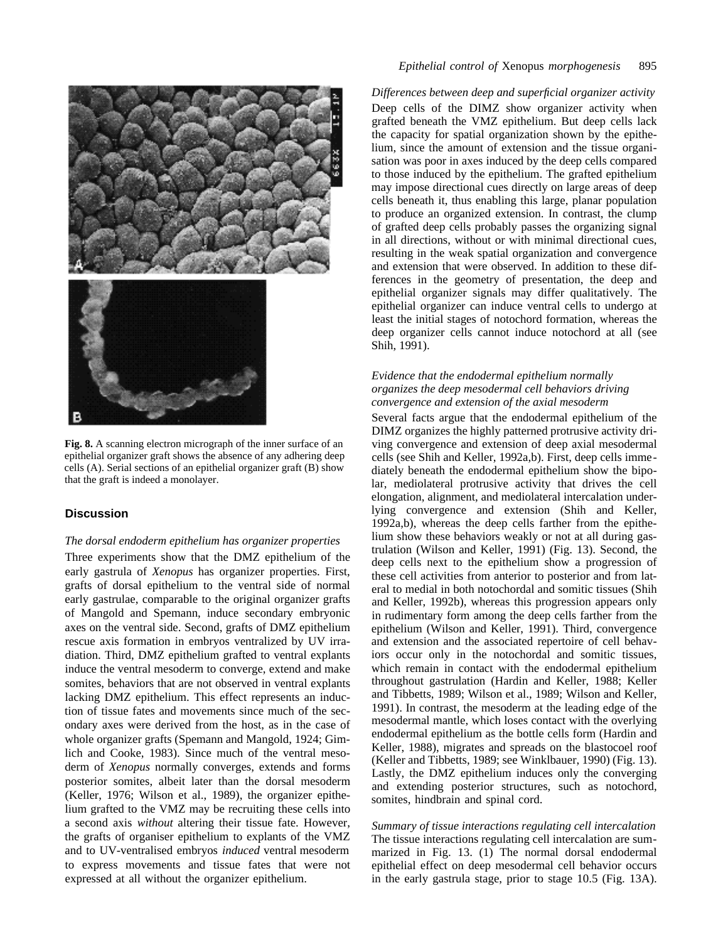

**Fig. 8.** A scanning electron micrograph of the inner surface of an epithelial organizer graft shows the absence of any adhering deep cells (A). Serial sections of an epithelial organizer graft (B) show that the graft is indeed a monolayer.

# **Discussion**

## *The dorsal endoderm epithelium has organizer properties*

Three experiments show that the DMZ epithelium of the early gastrula of *Xenopus* has organizer properties. First, grafts of dorsal epithelium to the ventral side of normal early gastrulae, comparable to the original organizer grafts of Mangold and Spemann, induce secondary embryonic axes on the ventral side. Second, grafts of DMZ epithelium rescue axis formation in embryos ventralized by UV irradiation. Third, DMZ epithelium grafted to ventral explants induce the ventral mesoderm to converge, extend and make somites, behaviors that are not observed in ventral explants lacking DMZ epithelium. This effect represents an induction of tissue fates and movements since much of the secondary axes were derived from the host, as in the case of whole organizer grafts (Spemann and Mangold, 1924; Gimlich and Cooke, 1983). Since much of the ventral mesoderm of *Xenopus* normally converges, extends and forms posterior somites, albeit later than the dorsal mesoderm (Keller, 1976; Wilson et al., 1989), the organizer epithelium grafted to the VMZ may be recruiting these cells into a second axis *without* altering their tissue fate. However, the grafts of organiser epithelium to explants of the VMZ and to UV-ventralised embryos *induced* ventral mesoderm to express movements and tissue fates that were not expressed at all without the organizer epithelium.

*Differences between deep and superficial organizer activity* Deep cells of the DIMZ show organizer activity when grafted beneath the VMZ epithelium. But deep cells lack the capacity for spatial organization shown by the epithelium, since the amount of extension and the tissue organisation was poor in axes induced by the deep cells compared to those induced by the epithelium. The grafted epithelium may impose directional cues directly on large areas of deep cells beneath it, thus enabling this large, planar population to produce an organized extension. In contrast, the clump of grafted deep cells probably passes the organizing signal in all directions, without or with minimal directional cues, resulting in the weak spatial organization and convergence and extension that were observed. In addition to these differences in the geometry of presentation, the deep and epithelial organizer signals may differ qualitatively. The epithelial organizer can induce ventral cells to undergo at least the initial stages of notochord formation, whereas the deep organizer cells cannot induce notochord at all (see Shih, 1991).

# *Evidence that the endodermal epithelium normally organizes the deep mesodermal cell behaviors driving convergence and extension of the axial mesoderm*

Several facts argue that the endodermal epithelium of the DIMZ organizes the highly patterned protrusive activity driving convergence and extension of deep axial mesodermal cells (see Shih and Keller, 1992a,b). First, deep cells immediately beneath the endodermal epithelium show the bipolar, mediolateral protrusive activity that drives the cell elongation, alignment, and mediolateral intercalation underlying convergence and extension (Shih and Keller, 1992a,b), whereas the deep cells farther from the epithelium show these behaviors weakly or not at all during gastrulation (Wilson and Keller, 1991) (Fig. 13). Second, the deep cells next to the epithelium show a progression of these cell activities from anterior to posterior and from lateral to medial in both notochordal and somitic tissues (Shih and Keller, 1992b), whereas this progression appears only in rudimentary form among the deep cells farther from the epithelium (Wilson and Keller, 1991). Third, convergence and extension and the associated repertoire of cell behaviors occur only in the notochordal and somitic tissues, which remain in contact with the endodermal epithelium throughout gastrulation (Hardin and Keller, 1988; Keller and Tibbetts, 1989; Wilson et al., 1989; Wilson and Keller, 1991). In contrast, the mesoderm at the leading edge of the mesodermal mantle, which loses contact with the overlying endodermal epithelium as the bottle cells form (Hardin and Keller, 1988), migrates and spreads on the blastocoel roof (Keller and Tibbetts, 1989; see Winklbauer, 1990) (Fig. 13). Lastly, the DMZ epithelium induces only the converging and extending posterior structures, such as notochord, somites, hindbrain and spinal cord.

*Summary of tissue interactions regulating cell intercalation* The tissue interactions regulating cell intercalation are summarized in Fig. 13. (1) The normal dorsal endodermal epithelial effect on deep mesodermal cell behavior occurs in the early gastrula stage, prior to stage 10.5 (Fig. 13A).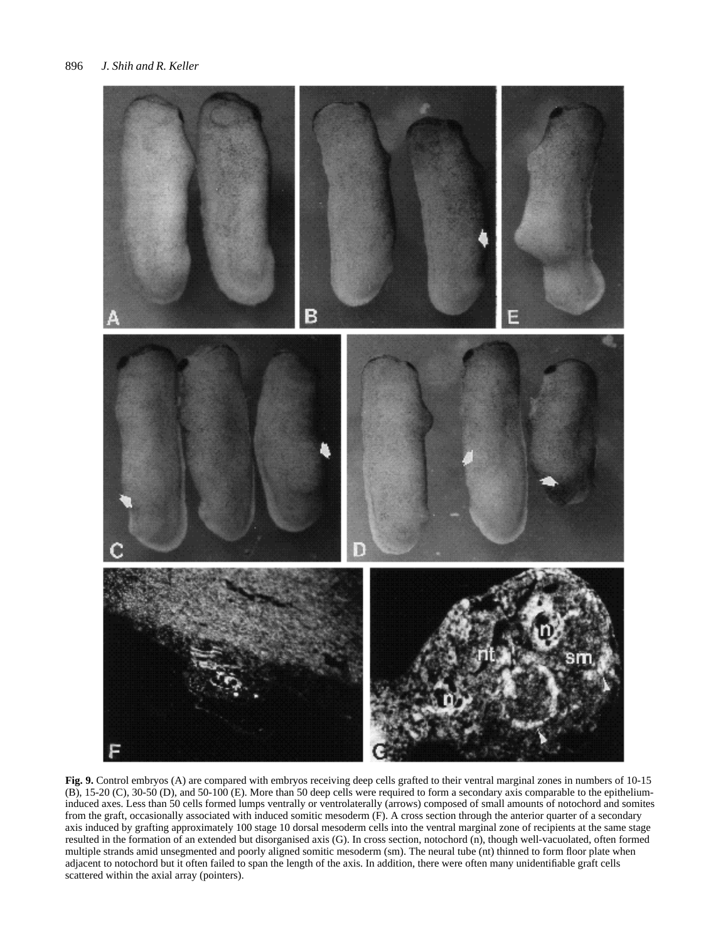

**Fig. 9.** Control embryos (A) are compared with embryos receiving deep cells grafted to their ventral marginal zones in numbers of 10-15 (B), 15-20 (C), 30-50 (D), and 50-100 (E). More than 50 deep cells were required to form a secondary axis comparable to the epitheliuminduced axes. Less than 50 cells formed lumps ventrally or ventrolaterally (arrows) composed of small amounts of notochord and somites from the graft, occasionally associated with induced somitic mesoderm (F). A cross section through the anterior quarter of a secondary axis induced by grafting approximately 100 stage 10 dorsal mesoderm cells into the ventral marginal zone of recipients at the same stage resulted in the formation of an extended but disorganised axis (G). In cross section, notochord (n), though well-vacuolated, often formed multiple strands amid unsegmented and poorly aligned somitic mesoderm (sm). The neural tube (nt) thinned to form floor plate when adjacent to notochord but it often failed to span the length of the axis. In addition, there were often many unidentifiable graft cells scattered within the axial array (pointers).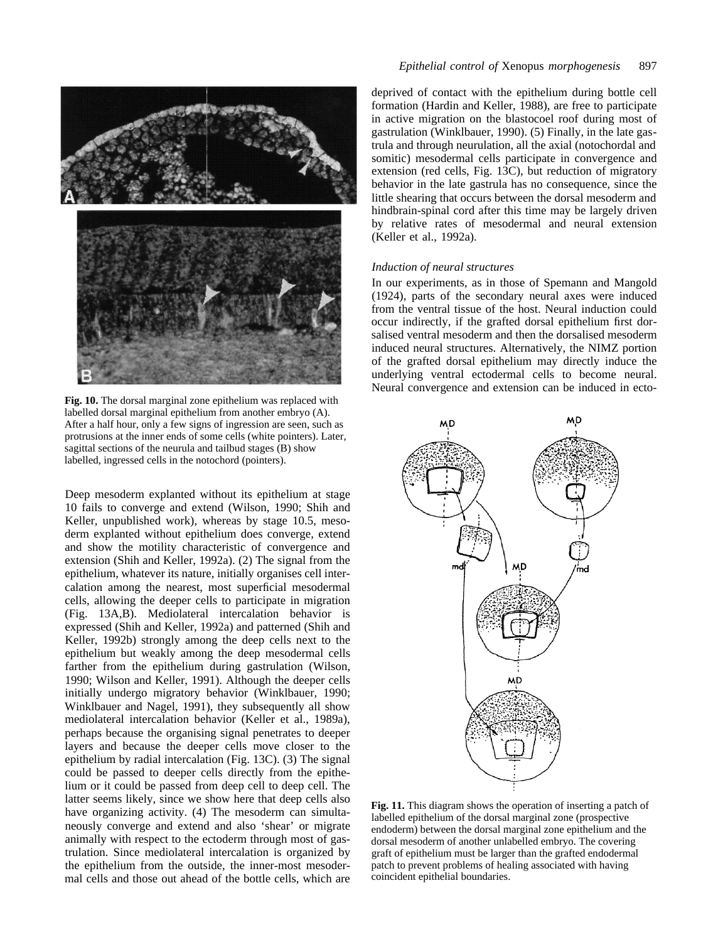

**Fig. 10.** The dorsal marginal zone epithelium was replaced with labelled dorsal marginal epithelium from another embryo (A). After a half hour, only a few signs of ingression are seen, such as protrusions at the inner ends of some cells (white pointers). Later, sagittal sections of the neurula and tailbud stages (B) show labelled, ingressed cells in the notochord (pointers).

Deep mesoderm explanted without its epithelium at stage 10 fails to converge and extend (Wilson, 1990; Shih and Keller, unpublished work), whereas by stage 10.5, mesoderm explanted without epithelium does converge, extend and show the motility characteristic of convergence and extension (Shih and Keller, 1992a). (2) The signal from the epithelium, whatever its nature, initially organises cell intercalation among the nearest, most superficial mesodermal cells, allowing the deeper cells to participate in migration (Fig. 13A,B). Mediolateral intercalation behavior is expressed (Shih and Keller, 1992a) and patterned (Shih and Keller, 1992b) strongly among the deep cells next to the epithelium but weakly among the deep mesodermal cells farther from the epithelium during gastrulation (Wilson, 1990; Wilson and Keller, 1991). Although the deeper cells initially undergo migratory behavior (Winklbauer, 1990; Winklbauer and Nagel, 1991), they subsequently all show mediolateral intercalation behavior (Keller et al., 1989a), perhaps because the organising signal penetrates to deeper layers and because the deeper cells move closer to the epithelium by radial intercalation (Fig. 13C). (3) The signal could be passed to deeper cells directly from the epithelium or it could be passed from deep cell to deep cell. The latter seems likely, since we show here that deep cells also have organizing activity. (4) The mesoderm can simultaneously converge and extend and also 'shear' or migrate animally with respect to the ectoderm through most of gastrulation. Since mediolateral intercalation is organized by the epithelium from the outside, the inner-most mesodermal cells and those out ahead of the bottle cells, which are deprived of contact with the epithelium during bottle cell formation (Hardin and Keller, 1988), are free to participate in active migration on the blastocoel roof during most of gastrulation (Winklbauer, 1990). (5) Finally, in the late gastrula and through neurulation, all the axial (notochordal and somitic) mesodermal cells participate in convergence and extension (red cells, Fig. 13C), but reduction of migratory behavior in the late gastrula has no consequence, since the little shearing that occurs between the dorsal mesoderm and hindbrain-spinal cord after this time may be largely driven by relative rates of mesodermal and neural extension (Keller et al., 1992a).

#### *Induction of neural structures*

In our experiments, as in those of Spemann and Mangold (1924), parts of the secondary neural axes were induced from the ventral tissue of the host. Neural induction could occur indirectly, if the grafted dorsal epithelium first dorsalised ventral mesoderm and then the dorsalised mesoderm induced neural structures. Alternatively, the NIMZ portion of the grafted dorsal epithelium may directly induce the underlying ventral ectodermal cells to become neural. Neural convergence and extension can be induced in ecto-



**Fig. 11.** This diagram shows the operation of inserting a patch of labelled epithelium of the dorsal marginal zone (prospective endoderm) between the dorsal marginal zone epithelium and the dorsal mesoderm of another unlabelled embryo. The covering graft of epithelium must be larger than the grafted endodermal patch to prevent problems of healing associated with having coincident epithelial boundaries.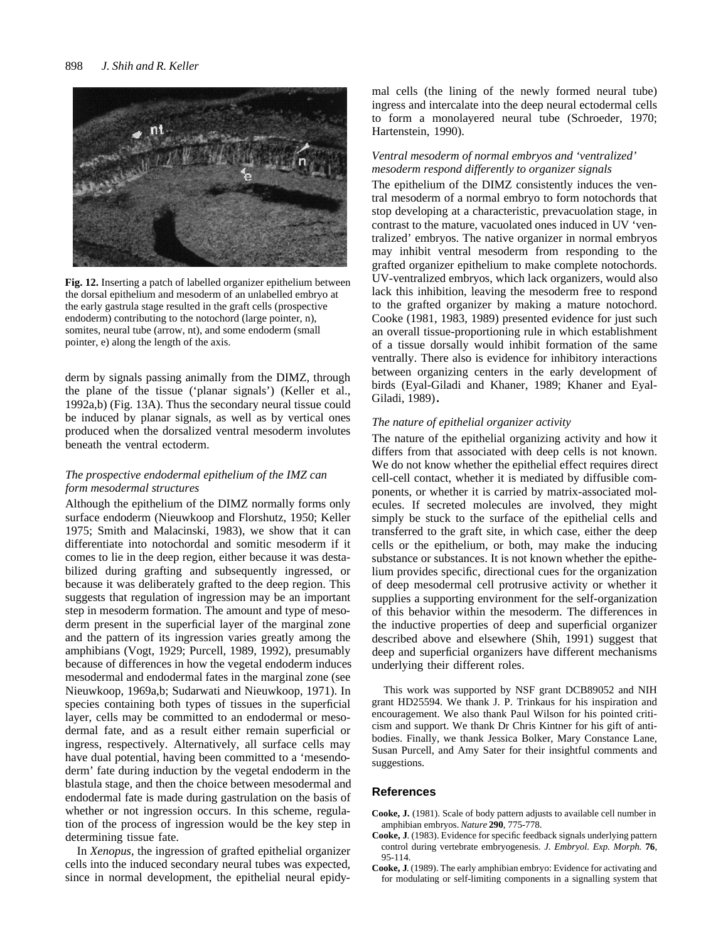

**Fig. 12.** Inserting a patch of labelled organizer epithelium between the dorsal epithelium and mesoderm of an unlabelled embryo at the early gastrula stage resulted in the graft cells (prospective endoderm) contributing to the notochord (large pointer, n), somites, neural tube (arrow, nt), and some endoderm (small pointer, e) along the length of the axis.

derm by signals passing animally from the DIMZ, through the plane of the tissue ('planar signals') (Keller et al., 1992a,b) (Fig. 13A). Thus the secondary neural tissue could be induced by planar signals, as well as by vertical ones produced when the dorsalized ventral mesoderm involutes beneath the ventral ectoderm.

# *The prospective endodermal epithelium of the IMZ can form mesodermal structures*

Although the epithelium of the DIMZ normally forms only surface endoderm (Nieuwkoop and Florshutz, 1950; Keller 1975; Smith and Malacinski, 1983), we show that it can differentiate into notochordal and somitic mesoderm if it comes to lie in the deep region, either because it was destabilized during grafting and subsequently ingressed, or because it was deliberately grafted to the deep region. This suggests that regulation of ingression may be an important step in mesoderm formation. The amount and type of mesoderm present in the superficial layer of the marginal zone and the pattern of its ingression varies greatly among the amphibians (Vogt, 1929; Purcell, 1989, 1992), presumably because of differences in how the vegetal endoderm induces mesodermal and endodermal fates in the marginal zone (see Nieuwkoop, 1969a,b; Sudarwati and Nieuwkoop, 1971). In species containing both types of tissues in the superficial layer, cells may be committed to an endodermal or mesodermal fate, and as a result either remain superficial or ingress, respectively. Alternatively, all surface cells may have dual potential, having been committed to a 'mesendoderm' fate during induction by the vegetal endoderm in the blastula stage, and then the choice between mesodermal and endodermal fate is made during gastrulation on the basis of whether or not ingression occurs. In this scheme, regulation of the process of ingression would be the key step in determining tissue fate.

In *Xenopus*, the ingression of grafted epithelial organizer cells into the induced secondary neural tubes was expected, since in normal development, the epithelial neural epidymal cells (the lining of the newly formed neural tube) ingress and intercalate into the deep neural ectodermal cells to form a monolayered neural tube (Schroeder, 1970; Hartenstein, 1990).

# *Ventral mesoderm of normal embryos and 'ventralized' mesoderm respond differently to organizer signals*

The epithelium of the DIMZ consistently induces the ventral mesoderm of a normal embryo to form notochords that stop developing at a characteristic, prevacuolation stage, in contrast to the mature, vacuolated ones induced in UV 'ventralized' embryos. The native organizer in normal embryos may inhibit ventral mesoderm from responding to the grafted organizer epithelium to make complete notochords. UV-ventralized embryos, which lack organizers, would also lack this inhibition, leaving the mesoderm free to respond to the grafted organizer by making a mature notochord. Cooke (1981, 1983, 1989) presented evidence for just such an overall tissue-proportioning rule in which establishment of a tissue dorsally would inhibit formation of the same ventrally. There also is evidence for inhibitory interactions between organizing centers in the early development of birds (Eyal-Giladi and Khaner, 1989; Khaner and Eyal-Giladi, 1989)**.**

# *The nature of epithelial organizer activity*

The nature of the epithelial organizing activity and how it differs from that associated with deep cells is not known. We do not know whether the epithelial effect requires direct cell-cell contact, whether it is mediated by diffusible components, or whether it is carried by matrix-associated molecules. If secreted molecules are involved, they might simply be stuck to the surface of the epithelial cells and transferred to the graft site, in which case, either the deep cells or the epithelium, or both, may make the inducing substance or substances. It is not known whether the epithelium provides specific, directional cues for the organization of deep mesodermal cell protrusive activity or whether it supplies a supporting environment for the self-organization of this behavior within the mesoderm. The differences in the inductive properties of deep and superficial organizer described above and elsewhere (Shih, 1991) suggest that deep and superficial organizers have different mechanisms underlying their different roles.

This work was supported by NSF grant DCB89052 and NIH grant HD25594. We thank J. P. Trinkaus for his inspiration and encouragement. We also thank Paul Wilson for his pointed criticism and support. We thank Dr Chris Kintner for his gift of antibodies. Finally, we thank Jessica Bolker, Mary Constance Lane, Susan Purcell, and Amy Sater for their insightful comments and suggestions.

# **References**

- **Cooke, J.** (1981). Scale of body pattern adjusts to available cell number in amphibian embryos. *Nature* **290**, 775-778.
- **Cooke, J**. (1983). Evidence for specific feedback signals underlying pattern control during vertebrate embryogenesis. *J. Embryol. Exp. Morph.* **76**, 95-114.
- **Cooke, J**. (1989). The early amphibian embryo: Evidence for activating and for modulating or self-limiting components in a signalling system that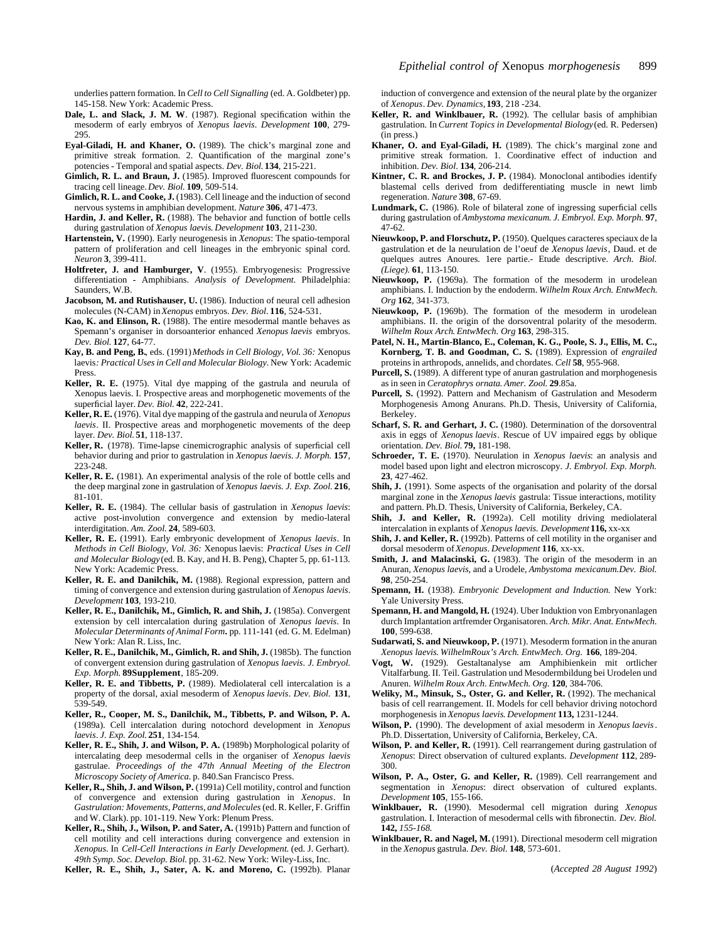underlies pattern formation. In *Cell to Cell Signalling* (ed. A. Goldbeter) pp. 145-158. New York: Academic Press.

- **Dale, L. and Slack, J. M. W**. (1987). Regional specification within the mesoderm of early embryos of *Xenopus laevis*. *Development* **100**, 279- 295.
- **Eyal-Giladi, H. and Khaner, O.** (1989). The chick's marginal zone and primitive streak formation. 2. Quantification of the marginal zone's potencies - Temporal and spatial aspects. *Dev. Biol.* **134**, 215-221.
- Gimlich, R. L. and Braun, J. (1985). Improved fluorescent compounds for tracing cell lineage. *Dev. Biol.* **109**, 509-514.
- **Gimlich, R. L. and Cooke, J.** (1983). Cell lineage and the induction of second nervous systems in amphibian development. *Nature* **306**, 471-473.
- **Hardin, J. and Keller, R.** (1988). The behavior and function of bottle cells during gastrulation of *Xenopus laevis*. *Development* **103**, 211-230.
- **Hartenstein, V.** (1990). Early neurogenesis in *Xenopus*: The spatio-temporal pattern of proliferation and cell lineages in the embryonic spinal cord. *Neuron* **3**, 399-411.
- **Holtfreter, J. and Hamburger, V**. (1955). Embryogenesis: Progressive differentiation - Amphibians. *Analysis of Development.* Philadelphia: Saunders, W.B.
- **Jacobson, M. and Rutishauser, U.** (1986). Induction of neural cell adhesion molecules (N-CAM) in *Xenopus* embryos. *Dev. Biol.* **116**, 524-531.
- **Kao, K. and Elinson, R.** (1988). The entire mesodermal mantle behaves as Spemann's organiser in dorsoanterior enhanced *Xenopus laevis* embryos. *Dev. Biol.* **127**, 64-77.
- **Kay, B. and Peng, B.**, eds. (1991) *Methods in Cell Biology, Vol. 36:* Xenopus laevis*: Practical Uses in Cell and Molecular Biology.* New York: Academic Press.
- **Keller, R. E.** (1975). Vital dye mapping of the gastrula and neurula of Xenopus laevis. I. Prospective areas and morphogenetic movements of the superficial layer. *Dev. Biol.* **42**, 222-241.
- **Keller, R. E.** (1976). Vital dye mapping of the gastrula and neurula of *Xenopus laevis*. II. Prospective areas and morphogenetic movements of the deep layer. *Dev. Biol.* **51**, 118-137.
- **Keller, R.** (1978). Time-lapse cinemicrographic analysis of superficial cell behavior during and prior to gastrulation in *Xenopus laevis*. *J. Morph.* **157**, 223-248.
- **Keller, R. E.** (1981). An experimental analysis of the role of bottle cells and the deep marginal zone in gastrulation of *Xenopus laevis*. *J. Exp. Zool.* **216**, 81-101.
- **Keller, R. E.** (1984). The cellular basis of gastrulation in *Xenopus laevis*: active post-involution convergence and extension by medio-lateral interdigitation. *Am. Zool.* **24**, 589-603.
- **Keller, R. E.** (1991). Early embryonic development of *Xenopus laevis*. In *Methods in Cell Biology, Vol. 36:* Xenopus laevis: *Practical Uses in Cell and Molecular Biology*(ed. B. Kay, and H. B. Peng), Chapter 5, pp. 61-113. New York: Academic Press.
- **Keller, R. E. and Danilchik, M.** (1988). Regional expression, pattern and timing of convergence and extension during gastrulation of *Xenopus laevis*. *Development* **103**, 193-210.
- **Keller, R. E., Danilchik, M., Gimlich, R. and Shih, J.** (1985a). Convergent extension by cell intercalation during gastrulation of *Xenopus laevis*. In *Molecular Determinants of Animal Form***.** pp. 111-141 (ed. G. M. Edelman) New York: Alan R. Liss, Inc.
- **Keller, R. E., Danilchik, M., Gimlich, R. and Shih, J.** (1985b). The function of convergent extension during gastrulation of *Xenopus laevis*. *J. Embryol. Exp. Morph.* **89Supplement**, 185-209.
- **Keller, R. E. and Tibbetts, P.** (1989). Mediolateral cell intercalation is a property of the dorsal, axial mesoderm of *Xenopus laevis*. *Dev. Biol.* **131**, 539-549.
- **Keller, R., Cooper, M. S., Danilchik, M., Tibbetts, P. and Wilson, P. A.** (1989a). Cell intercalation during notochord development in *Xenopus laevis*. *J. Exp. Zool.* **251**, 134-154.
- **Keller, R. E., Shih, J. and Wilson, P. A.** (1989b) Morphological polarity of intercalating deep mesodermal cells in the organiser of *Xenopus laevis* gastrulae. *Proceedings of the 47th Annual Meeting of the Electron Microscopy Society of America.* p. 840.San Francisco Press.
- **Keller, R., Shih, J. and Wilson, P.** (1991a) Cell motility, control and function of convergence and extension during gastrulation in *Xenopus*. In *Gastrulation: Movements, Patterns, and Molecules*(ed. R. Keller, F. Griffin and W. Clark). pp. 101-119. New York: Plenum Press.
- **Keller, R., Shih, J., Wilson, P. and Sater, A.** (1991b) Pattern and function of cell motility and cell interactions during convergence and extension in *Xenopus*. In *Cell-Cell Interactions in Early Development*. (ed. J. Gerhart). *49th Symp. Soc. Develop. Biol.* pp. 31-62. New York: Wiley-Liss, Inc.

**Keller, R. E., Shih, J., Sater, A. K. and Moreno, C.** (1992b). Planar

induction of convergence and extension of the neural plate by the organizer of *Xenopus*. *Dev. Dynamics,* **193**, 218 -234.

- **Keller, R. and Winklbauer, R.** (1992). The cellular basis of amphibian gastrulation. In *Current Topics in Developmental Biology*(ed. R. Pedersen) (in press.)
- **Khaner, O. and Eyal-Giladi, H.** (1989). The chick's marginal zone and primitive streak formation. 1. Coordinative effect of induction and inhibition. *Dev. Biol*. **134**, 206-214.
- **Kintner, C. R. and Brockes, J. P.** (1984). Monoclonal antibodies identify blastemal cells derived from dedifferentiating muscle in newt limb regeneration. *Nature* **308**, 67-69.
- **Lundmark, C.** (1986). Role of bilateral zone of ingressing superficial cells during gastrulation of *Ambystoma mexicanum*. *J. Embryol. Exp. Morph.* **97**, 47-62.
- **Nieuwkoop, P. and Florschutz, P.** (1950). Quelques caracteres speciaux de la gastrulation et de la neurulation de l'oeuf de *Xenopus laevis*, Daud. et de quelques autres Anoures. 1ere partie.- Etude descriptive. *Arch. Biol. (Liege).* **61**, 113-150.
- **Nieuwkoop, P.** (1969a). The formation of the mesoderm in urodelean amphibians. I. Induction by the endoderm. *Wilhelm Roux Arch. EntwMech. Org* **162**, 341-373.
- **Nieuwkoop, P.** (1969b). The formation of the mesoderm in urodelean amphibians. II. the origin of the dorsoventral polarity of the mesoderm. *Wilhelm Roux Arch*. *EntwMech. Org* **163**, 298-315.
- **Patel, N. H., Martin-Blanco, E., Coleman, K. G., Poole, S. J., Ellis, M. C., Kornberg, T. B. and Goodman, C. S.** (1989). Expression of *engrailed* proteins in arthropods, annelids, and chordates. *Cell* **58**, 955-968.
- **Purcell, S.** (1989). A different type of anuran gastrulation and morphogenesis as in seen in *Ceratophrys ornata*. *Amer. Zool.* **29**.85a.
- Purcell, S. (1992). Pattern and Mechanism of Gastrulation and Mesoderm Morphogenesis Among Anurans. Ph.D. Thesis, University of California, Berkeley.
- **Scharf, S. R. and Gerhart, J. C.** (1980). Determination of the dorsoventral axis in eggs of *Xenopus laevis*. Rescue of UV impaired eggs by oblique orientation. *Dev. Biol.* **79,** 181-198.
- **Schroeder, T. E.** (1970). Neurulation in *Xenopus laevis*: an analysis and model based upon light and electron microscopy. *J. Embryol. Exp. Morph.* **23**, 427-462.
- **Shih, J.** (1991). Some aspects of the organisation and polarity of the dorsal marginal zone in the *Xenopus laevis* gastrula: Tissue interactions, motility and pattern. Ph.D. Thesis, University of California, Berkeley, CA.
- Shih, J. and Keller, R. (1992a). Cell motility driving mediolateral intercalation in explants of *Xenopus laevis. Development* **116,** xx-xx
- **Shih, J. and Keller, R.** (1992b). Patterns of cell motility in the organiser and dorsal mesoderm of*Xenopus*. *Development* **116**, xx-xx.
- **Smith, J. and Malacinski, G.** (1983). The origin of the mesoderm in an Anuran, *Xenopus laevis*, and a Urodele, *Ambystoma mexicanum.Dev. Biol.* **98**, 250-254.
- **Spemann, H.** (1938). *Embryonic Development and Induction*. New York: Yale University Press.
- **Spemann, H. and Mangold, H.** (1924). Uber Induktion von Embryonanlagen durch Implantation artfremder Organisatoren. *Arch. Mikr. Anat. EntwMech.* **100**, 599-638.
- **Sudarwati, S. and Nieuwkoop, P.** (1971). Mesoderm formation in the anuran *Xenopus laevis*. *WilhelmRoux's Arch. EntwMech. Org.* **166**, 189-204.
- **Vogt, W.** (1929). Gestaltanalyse am Amphibienkein mit ortlicher Vitalfarbung. II. Teil. Gastrulation und Mesodermbildung bei Urodelen und Anuren. *Wilhelm Roux Arch. EntwMech. Org.* **120**, 384-706.
- **Weliky, M., Minsuk, S., Oster, G. and Keller, R.** (1992). The mechanical basis of cell rearrangement. II. Models for cell behavior driving notochord morphogenesis in *Xenopus laevis*. *Development* **113,** 1231-1244.
- **Wilson, P.** (1990). The development of axial mesoderm in *Xenopus laevis*. Ph.D. Dissertation, University of California, Berkeley, CA.
- **Wilson, P. and Keller, R.** (1991). Cell rearrangement during gastrulation of *Xenopus*: Direct observation of cultured explants. *Development* **112**, 289- 300.
- **Wilson, P. A., Oster, G. and Keller, R.** (1989). Cell rearrangement and segmentation in *Xenopus*: direct observation of cultured explants. *Development* **105**, 155-166.
- **Winklbauer, R.** (1990). Mesodermal cell migration during *Xenopus* gastrulation. I. Interaction of mesodermal cells with fibronectin. *Dev. Biol.* **142,** *155-168.*
- **Winklbauer, R. and Nagel, M.** (1991). Directional mesoderm cell migration in the *Xenopus* gastrula. *Dev. Biol.* **148**, 573-601.

(*Accepted 28 August 1992*)